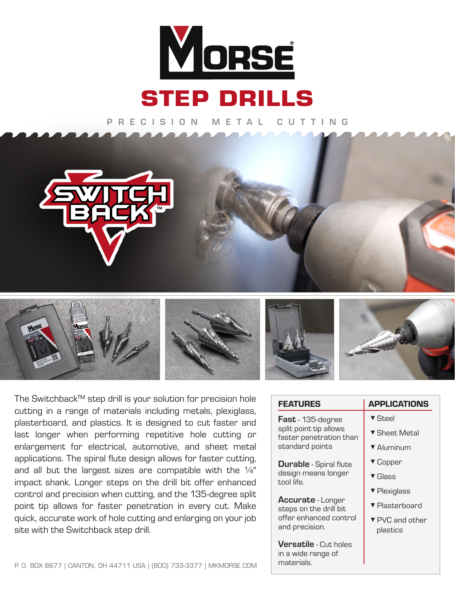

PRECISION METAL CUTTING











The Switchback™ step drill is your solution for precision hole cutting in a range of materials including metals, plexig plasterboard, and plastics. It is designed to cut faster last longer when performing repetitive hole cuttin enlargement for electrical, automotive, and sheet r applications. The spiral flute design allows for faster cut and all but the largest sizes are compatible with the impact shank. Longer steps on the drill bit offer enha control and precision when cutting, and the 135-degree point tip allows for faster penetration in every cut. I quick, accurate work of hole cutting and enlarging on you site with the Switchback step drill.

| hole ו                     | <b>FEATURES</b>                                                  | <b>APPLICATIONS</b>         |
|----------------------------|------------------------------------------------------------------|-----------------------------|
| glass,<br>r and            | Fast - 135-degree                                                | ▼ Steel                     |
| ig or                      | split point tip allows<br>faster penetration than                | ▼ Sheet Metal               |
| metal                      | standard points                                                  | ▼ Aluminum                  |
| ıtting,                    | <b>Durable</b> - Spiral flute                                    | ▼ Copper                    |
| e $\frac{1}{4}$ "<br>anced | design means longer<br>tool life.                                | $\blacktriangledown$ Glass  |
| e split                    |                                                                  | ▼ Plexiglass                |
| Make                       | <b>Accurate</b> - Longer<br>steps on the drill bit               | ▼ Plasterboard              |
| ur job                     | offer enhanced control<br>and precision.                         | ▼ PVC and other<br>plastics |
| <b>SE.COM</b>              | <b>Versatile</b> - Cut holes<br>in a wide range of<br>materials. |                             |
|                            |                                                                  |                             |